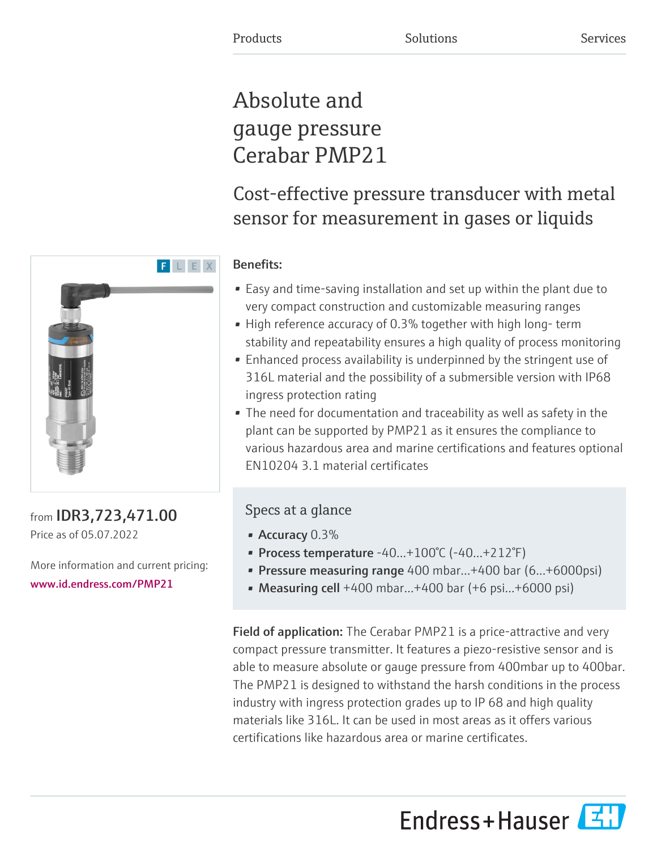# Absolute and gauge pressure Cerabar PMP21

# Cost-effective pressure transducer with metal sensor for measurement in gases or liquids

# Benefits:

- Easy and time-saving installation and set up within the plant due to very compact construction and customizable measuring ranges
- High reference accuracy of 0.3% together with high long- term stability and repeatability ensures a high quality of process monitoring
- Enhanced process availability is underpinned by the stringent use of 316L material and the possibility of a submersible version with IP68 ingress protection rating
- The need for documentation and traceability as well as safety in the plant can be supported by PMP21 as it ensures the compliance to various hazardous area and marine certifications and features optional EN10204 3.1 material certificates

# Specs at a glance

- Accuracy  $0.3\%$
- Process temperature  $-40...+100°C$  ( $-40...+212°F$ )
- Pressure measuring range 400 mbar…+400 bar (6...+6000psi)
- Measuring cell  $+400$  mbar... $+400$  bar  $(+6$  psi... $+6000$  psi)

Field of application: The Cerabar PMP21 is a price-attractive and very compact pressure transmitter. It features a piezo-resistive sensor and is able to measure absolute or gauge pressure from 400mbar up to 400bar. The PMP21 is designed to withstand the harsh conditions in the process industry with ingress protection grades up to IP 68 and high quality materials like 316L. It can be used in most areas as it offers various certifications like hazardous area or marine certificates.





from IDR3,723,471.00 Price as of 05.07.2022

More information and current pricing: [www.id.endress.com/PMP21](https://www.id.endress.com/PMP21)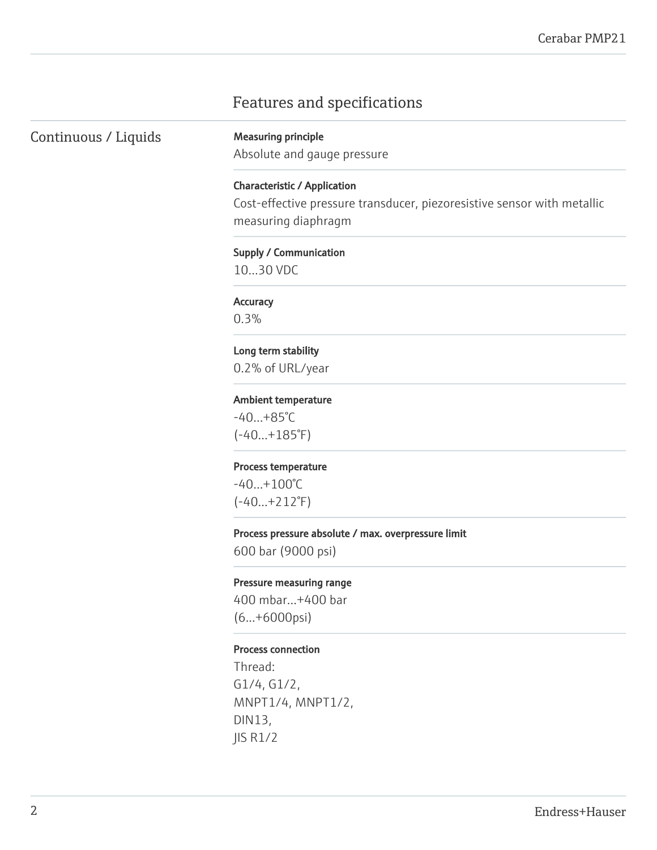# Features and specifications

Continuous / Liquids Measuring principle

Absolute and gauge pressure

Characteristic / Application Cost-effective pressure transducer, piezoresistive sensor with metallic measuring diaphragm

# Supply / Communication

10…30 VDC

# **Accuracy**

0.3%

## Long term stability

0.2% of URL/year

### Ambient temperature

-40…+85°C  $(-40...+185°F)$ 

### Process temperature

-40…+100°C (-40…+212°F)

### Process pressure absolute / max. overpressure limit

600 bar (9000 psi)

### Pressure measuring range

400 mbar…+400 bar (6...+6000psi)

### Process connection

Thread: G1/4, G1/2, MNPT1/4, MNPT1/2, DIN13, JIS R1/2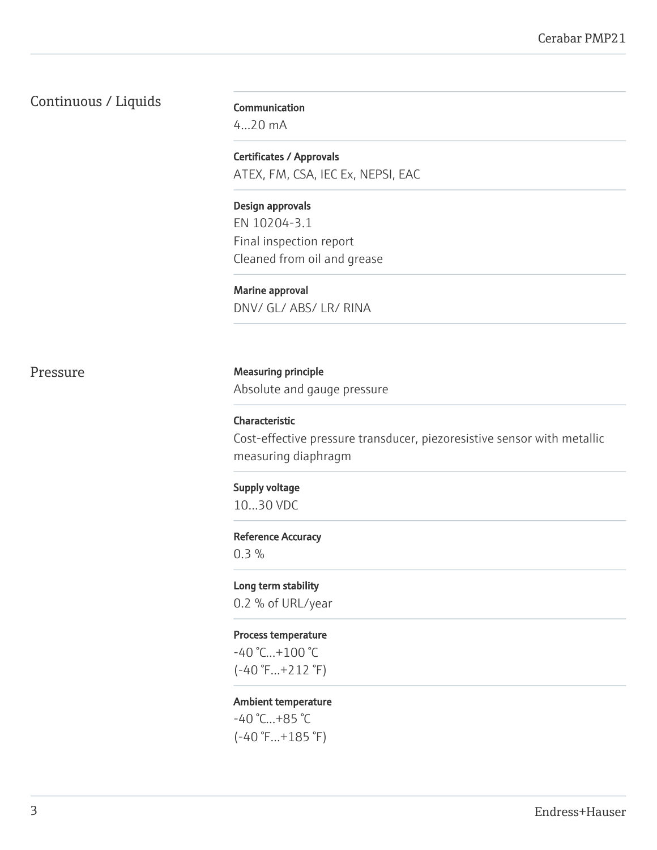# Continuous / Liquids

Communication 4...20 mA

Certificates / Approvals ATEX, FM, CSA, IEC Ex, NEPSI, EAC

Design approvals EN 10204-3.1 Final inspection report Cleaned from oil and grease

Marine approval DNV/ GL/ ABS/ LR/ RINA

Pressure Measuring principle Absolute and gauge pressure

> Characteristic Cost-effective pressure transducer, piezoresistive sensor with metallic measuring diaphragm

Supply voltage 10…30 VDC

# Reference Accuracy

0.3 %

Long term stability 0.2 % of URL/year

# Process temperature

-40 °C…+100 °C (-40 °F…+212 °F)

### Ambient temperature

-40 °C…+85 °C (-40 °F…+185 °F)